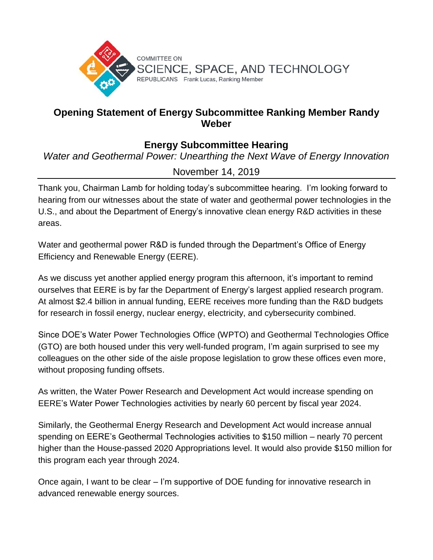

## **Opening Statement of Energy Subcommittee Ranking Member Randy Weber**

## **Energy Subcommittee Hearing**

*Water and Geothermal Power: Unearthing the Next Wave of Energy Innovation*

## November 14, 2019

Thank you, Chairman Lamb for holding today's subcommittee hearing. I'm looking forward to hearing from our witnesses about the state of water and geothermal power technologies in the U.S., and about the Department of Energy's innovative clean energy R&D activities in these areas.

Water and geothermal power R&D is funded through the Department's Office of Energy Efficiency and Renewable Energy (EERE).

As we discuss yet another applied energy program this afternoon, it's important to remind ourselves that EERE is by far the Department of Energy's largest applied research program. At almost \$2.4 billion in annual funding, EERE receives more funding than the R&D budgets for research in fossil energy, nuclear energy, electricity, and cybersecurity combined.

Since DOE's Water Power Technologies Office (WPTO) and Geothermal Technologies Office (GTO) are both housed under this very well-funded program, I'm again surprised to see my colleagues on the other side of the aisle propose legislation to grow these offices even more, without proposing funding offsets.

As written, the Water Power Research and Development Act would increase spending on EERE's Water Power Technologies activities by nearly 60 percent by fiscal year 2024.

Similarly, the Geothermal Energy Research and Development Act would increase annual spending on EERE's Geothermal Technologies activities to \$150 million – nearly 70 percent higher than the House-passed 2020 Appropriations level. It would also provide \$150 million for this program each year through 2024.

Once again, I want to be clear – I'm supportive of DOE funding for innovative research in advanced renewable energy sources.